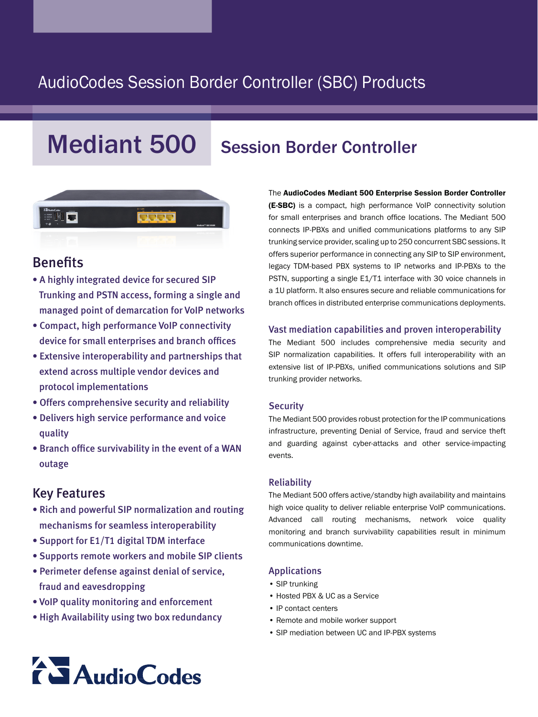# AudioCodes Session Border Controller (SBC) Products

# Mediant 500 Session Border Controller



## Benefits

- A highly integrated device for secured SIP Trunking and PSTN access, forming a single and managed point of demarcation for VoIP networks
- Compact, high performance VoIP connectivity device for small enterprises and branch offices
- Extensive interoperability and partnerships that extend across multiple vendor devices and protocol implementations
- Offers comprehensive security and reliability
- Delivers high service performance and voice quality
- Branch office survivability in the event of a WAN outage

### **Key Features**

- Rich and powerful SIP normalization and routing mechanisms for seamless interoperability
- Support for E1/T1 digital TDM interface
- Supports remote workers and mobile SIP clients
- Perimeter defense against denial of service, fraud and eavesdropping
- VoIP quality monitoring and enforcement
- High Availability using two box redundancy

The AudioCodes Mediant 500 Enterprise Session Border Controller (E-SBC) is a compact, high performance VoIP connectivity solution for small enterprises and branch office locations. The Mediant 500 connects IP-PBXs and unified communications platforms to any SIP trunking service provider, scaling up to 250 concurrent SBC sessions. It offers superior performance in connecting any SIP to SIP environment, legacy TDM-based PBX systems to IP networks and IP-PBXs to the PSTN, supporting a single E1/T1 interface with 30 voice channels in a 1U platform. It also ensures secure and reliable communications for branch offices in distributed enterprise communications deployments.

### Vast mediation capabilities and proven interoperability

The Mediant 500 includes comprehensive media security and SIP normalization capabilities. It offers full interoperability with an extensive list of IP-PBXs, unified communications solutions and SIP trunking provider networks.

### **Security**

The Mediant 500 provides robust protection for the IP communications infrastructure, preventing Denial of Service, fraud and service theft and guarding against cyber-attacks and other service-impacting .events

#### Reliability

The Mediant 500 offers active/standby high availability and maintains high voice quality to deliver reliable enterprise VoIP communications. Advanced call routing mechanisms, network voice quality monitoring and branch survivability capabilities result in minimum communications downtime.

#### Applications

- SIP trunking
- Hosted PBX & UC as a Service
- IP contact centers
- Remote and mobile worker support
- SIP mediation between UC and IP-PBX systems